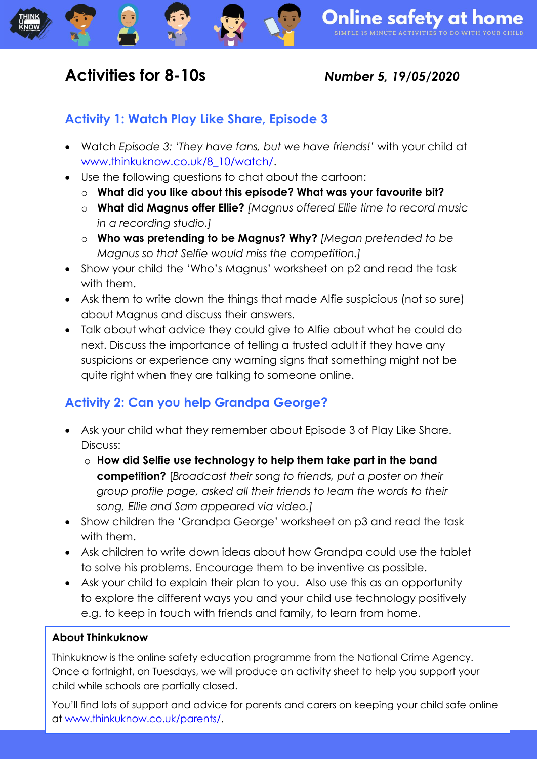## **Activities for 8-10s** *Number 5, 19/05/2020*

### **Activity 1: Watch Play Like Share, Episode 3**

- Watch *Episode 3: 'They have fans, but we have friends!'* with your child at [www.thinkuknow.co.uk/8\\_10/watch/.](http://www.thinkuknow.co.uk/8_10/watch/)
- Use the following questions to chat about the cartoon:
	- o **What did you like about this episode? What was your favourite bit?**
	- o **What did Magnus offer Ellie?** *[Magnus offered Ellie time to record music in a recording studio.]*
	- o **Who was pretending to be Magnus? Why?** *[Megan pretended to be Magnus so that Selfie would miss the competition.]*
- Show your child the 'Who's Magnus' worksheet on p2 and read the task with them.
- Ask them to write down the things that made Alfie suspicious (not so sure) about Magnus and discuss their answers.
- Talk about what advice they could give to Alfie about what he could do next. Discuss the importance of telling a trusted adult if they have any suspicions or experience any warning signs that something might not be quite right when they are talking to someone online.

## **Activity 2: Can you help Grandpa George?**

- Ask your child what they remember about Episode 3 of Play Like Share. Discuss:
	- o **How did Selfie use technology to help them take part in the band competition?** [*Broadcast their song to friends, put a poster on their group profile page, asked all their friends to learn the words to their song, Ellie and Sam appeared via video.]*
- Show children the 'Grandpa George' worksheet on p3 and read the task with them.
- Ask children to write down ideas about how Grandpa could use the tablet to solve his problems. Encourage them to be inventive as possible.
- Ask your child to explain their plan to you. Also use this as an opportunity to explore the different ways you and your child use technology positively e.g. to keep in touch with friends and family, to learn from home.

#### **About Thinkuknow**

Thinkuknow is the online safety education programme from the National Crime Agency. Once a fortnight, on Tuesdays, we will produce an activity sheet to help you support your child while schools are partially closed.

You'll find lots of support and advice for parents and carers on keeping your child safe online at [www.thinkuknow.co.uk/parents/.](http://www.thinkuknow.co.uk/parents/)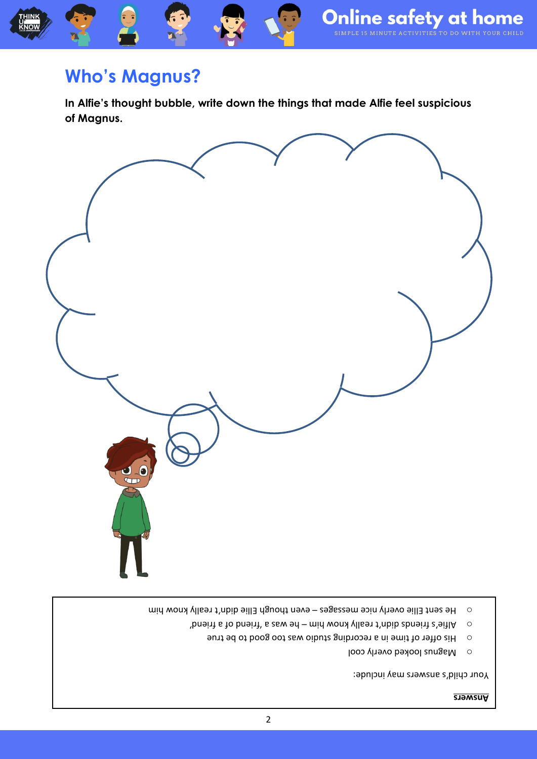## **Who's Magnus?**

**In Alfie's thought bubble, write down the things that made Alfie feel suspicious of Magnus.** 



- even the seur Ellie overly nice messages even though Ellie didn't really know him
	-
	- -
		-
		-
		- -
		- -
		- $\mu$  busith a from busity is sem sq mid won ylls bir thib abovith  $\alpha$  or busith  $\alpha$ 
			-
			- $\overline{\phantom{a}}$  His offer of time in a recording studio was too good to be true
			- - o Magnus looked overly cool

**Answers**

Your child's answers may include:

- 
- -

2